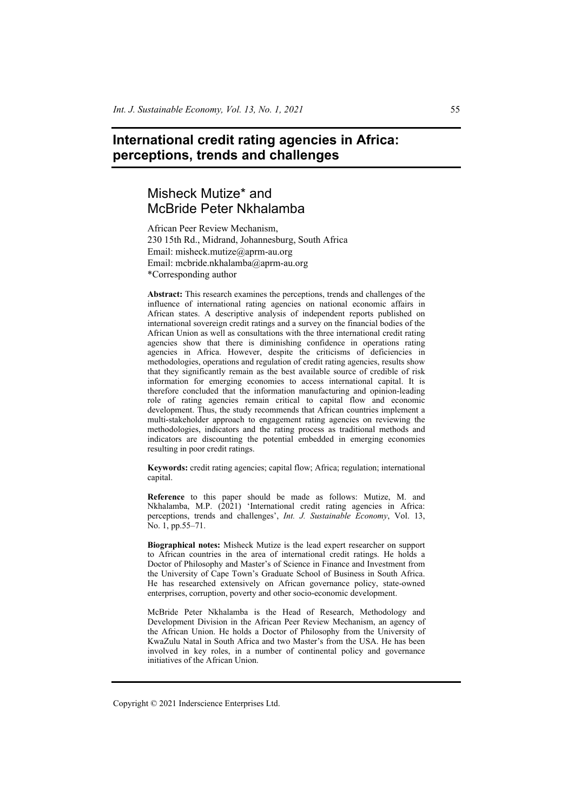# **International credit rating agencies in Africa: perceptions, trends and challenges**

# Misheck Mutize\* and McBride Peter Nkhalamba

African Peer Review Mechanism, 230 15th Rd., Midrand, Johannesburg, South Africa Email: misheck.mutize@aprm-au.org Email: mcbride.nkhalamba@aprm-au.org \*Corresponding author

**Abstract:** This research examines the perceptions, trends and challenges of the influence of international rating agencies on national economic affairs in African states. A descriptive analysis of independent reports published on international sovereign credit ratings and a survey on the financial bodies of the African Union as well as consultations with the three international credit rating agencies show that there is diminishing confidence in operations rating agencies in Africa. However, despite the criticisms of deficiencies in methodologies, operations and regulation of credit rating agencies, results show that they significantly remain as the best available source of credible of risk information for emerging economies to access international capital. It is therefore concluded that the information manufacturing and opinion-leading role of rating agencies remain critical to capital flow and economic development. Thus, the study recommends that African countries implement a multi-stakeholder approach to engagement rating agencies on reviewing the methodologies, indicators and the rating process as traditional methods and indicators are discounting the potential embedded in emerging economies resulting in poor credit ratings.

**Keywords:** credit rating agencies; capital flow; Africa; regulation; international capital.

**Reference** to this paper should be made as follows: Mutize, M. and Nkhalamba, M.P. (2021) 'International credit rating agencies in Africa: perceptions, trends and challenges', *Int. J. Sustainable Economy*, Vol. 13, No. 1, pp.55–71.

**Biographical notes:** Misheck Mutize is the lead expert researcher on support to African countries in the area of international credit ratings. He holds a Doctor of Philosophy and Master's of Science in Finance and Investment from the University of Cape Town's Graduate School of Business in South Africa. He has researched extensively on African governance policy, state-owned enterprises, corruption, poverty and other socio-economic development.

McBride Peter Nkhalamba is the Head of Research, Methodology and Development Division in the African Peer Review Mechanism, an agency of the African Union. He holds a Doctor of Philosophy from the University of KwaZulu Natal in South Africa and two Master's from the USA. He has been involved in key roles, in a number of continental policy and governance initiatives of the African Union.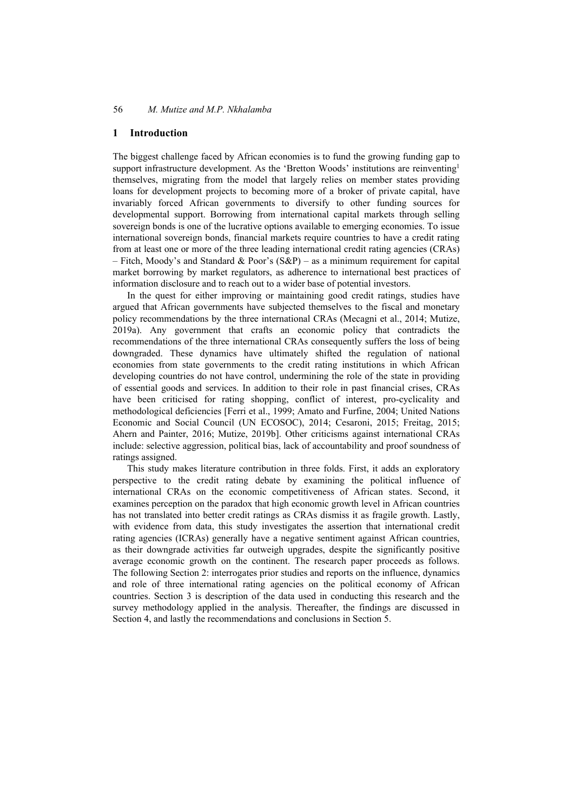# **1 Introduction**

The biggest challenge faced by African economies is to fund the growing funding gap to support infrastructure development. As the 'Bretton Woods' institutions are reinventing<sup>1</sup> themselves, migrating from the model that largely relies on member states providing loans for development projects to becoming more of a broker of private capital, have invariably forced African governments to diversify to other funding sources for developmental support. Borrowing from international capital markets through selling sovereign bonds is one of the lucrative options available to emerging economies. To issue international sovereign bonds, financial markets require countries to have a credit rating from at least one or more of the three leading international credit rating agencies (CRAs) – Fitch, Moody's and Standard & Poor's  $(S\&P)$  – as a minimum requirement for capital market borrowing by market regulators, as adherence to international best practices of information disclosure and to reach out to a wider base of potential investors.

In the quest for either improving or maintaining good credit ratings, studies have argued that African governments have subjected themselves to the fiscal and monetary policy recommendations by the three international CRAs (Mecagni et al., 2014; Mutize, 2019a). Any government that crafts an economic policy that contradicts the recommendations of the three international CRAs consequently suffers the loss of being downgraded. These dynamics have ultimately shifted the regulation of national economies from state governments to the credit rating institutions in which African developing countries do not have control, undermining the role of the state in providing of essential goods and services. In addition to their role in past financial crises, CRAs have been criticised for rating shopping, conflict of interest, pro-cyclicality and methodological deficiencies [Ferri et al., 1999; Amato and Furfine, 2004; United Nations Economic and Social Council (UN ECOSOC), 2014; Cesaroni, 2015; Freitag, 2015; Ahern and Painter, 2016; Mutize, 2019b]. Other criticisms against international CRAs include: selective aggression, political bias, lack of accountability and proof soundness of ratings assigned.

This study makes literature contribution in three folds. First, it adds an exploratory perspective to the credit rating debate by examining the political influence of international CRAs on the economic competitiveness of African states. Second, it examines perception on the paradox that high economic growth level in African countries has not translated into better credit ratings as CRAs dismiss it as fragile growth. Lastly, with evidence from data, this study investigates the assertion that international credit rating agencies (ICRAs) generally have a negative sentiment against African countries, as their downgrade activities far outweigh upgrades, despite the significantly positive average economic growth on the continent. The research paper proceeds as follows. The following Section 2: interrogates prior studies and reports on the influence, dynamics and role of three international rating agencies on the political economy of African countries. Section 3 is description of the data used in conducting this research and the survey methodology applied in the analysis. Thereafter, the findings are discussed in Section 4, and lastly the recommendations and conclusions in Section 5.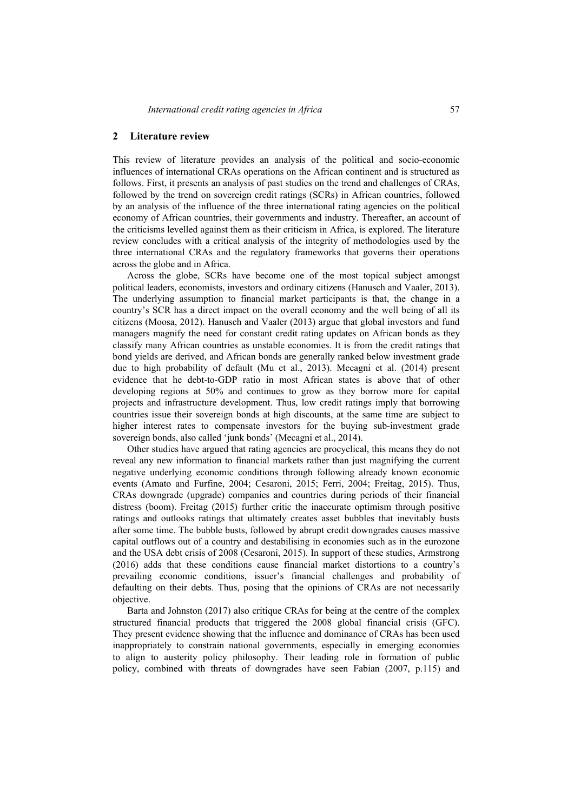## **2 Literature review**

This review of literature provides an analysis of the political and socio-economic influences of international CRAs operations on the African continent and is structured as follows. First, it presents an analysis of past studies on the trend and challenges of CRAs, followed by the trend on sovereign credit ratings (SCRs) in African countries, followed by an analysis of the influence of the three international rating agencies on the political economy of African countries, their governments and industry. Thereafter, an account of the criticisms levelled against them as their criticism in Africa, is explored. The literature review concludes with a critical analysis of the integrity of methodologies used by the three international CRAs and the regulatory frameworks that governs their operations across the globe and in Africa.

Across the globe, SCRs have become one of the most topical subject amongst political leaders, economists, investors and ordinary citizens (Hanusch and Vaaler, 2013). The underlying assumption to financial market participants is that, the change in a country's SCR has a direct impact on the overall economy and the well being of all its citizens (Moosa, 2012). Hanusch and Vaaler (2013) argue that global investors and fund managers magnify the need for constant credit rating updates on African bonds as they classify many African countries as unstable economies. It is from the credit ratings that bond yields are derived, and African bonds are generally ranked below investment grade due to high probability of default (Mu et al., 2013). Mecagni et al. (2014) present evidence that he debt-to-GDP ratio in most African states is above that of other developing regions at 50% and continues to grow as they borrow more for capital projects and infrastructure development. Thus, low credit ratings imply that borrowing countries issue their sovereign bonds at high discounts, at the same time are subject to higher interest rates to compensate investors for the buying sub-investment grade sovereign bonds, also called 'junk bonds' (Mecagni et al., 2014).

Other studies have argued that rating agencies are procyclical, this means they do not reveal any new information to financial markets rather than just magnifying the current negative underlying economic conditions through following already known economic events (Amato and Furfine, 2004; Cesaroni, 2015; Ferri, 2004; Freitag, 2015). Thus, CRAs downgrade (upgrade) companies and countries during periods of their financial distress (boom). Freitag (2015) further critic the inaccurate optimism through positive ratings and outlooks ratings that ultimately creates asset bubbles that inevitably busts after some time. The bubble busts, followed by abrupt credit downgrades causes massive capital outflows out of a country and destabilising in economies such as in the eurozone and the USA debt crisis of 2008 (Cesaroni, 2015). In support of these studies, Armstrong (2016) adds that these conditions cause financial market distortions to a country's prevailing economic conditions, issuer's financial challenges and probability of defaulting on their debts. Thus, posing that the opinions of CRAs are not necessarily objective.

Barta and Johnston (2017) also critique CRAs for being at the centre of the complex structured financial products that triggered the 2008 global financial crisis (GFC). They present evidence showing that the influence and dominance of CRAs has been used inappropriately to constrain national governments, especially in emerging economies to align to austerity policy philosophy. Their leading role in formation of public policy, combined with threats of downgrades have seen Fabian (2007, p.115) and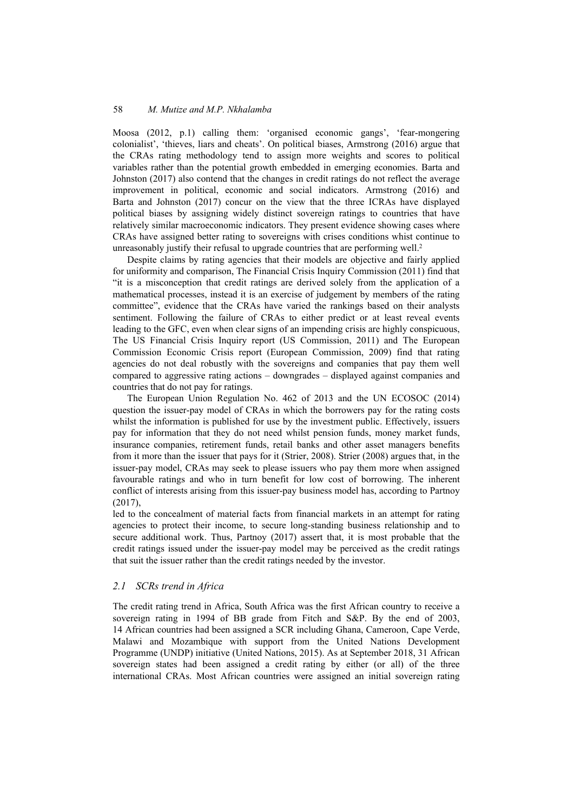Moosa (2012, p.1) calling them: 'organised economic gangs', 'fear-mongering colonialist', 'thieves, liars and cheats'. On political biases, Armstrong (2016) argue that the CRAs rating methodology tend to assign more weights and scores to political variables rather than the potential growth embedded in emerging economies. Barta and Johnston (2017) also contend that the changes in credit ratings do not reflect the average improvement in political, economic and social indicators. Armstrong (2016) and Barta and Johnston (2017) concur on the view that the three ICRAs have displayed political biases by assigning widely distinct sovereign ratings to countries that have relatively similar macroeconomic indicators. They present evidence showing cases where CRAs have assigned better rating to sovereigns with crises conditions whist continue to unreasonably justify their refusal to upgrade countries that are performing well.<sup>2</sup>

Despite claims by rating agencies that their models are objective and fairly applied for uniformity and comparison, The Financial Crisis Inquiry Commission (2011) find that "it is a misconception that credit ratings are derived solely from the application of a mathematical processes, instead it is an exercise of judgement by members of the rating committee", evidence that the CRAs have varied the rankings based on their analysts sentiment. Following the failure of CRAs to either predict or at least reveal events leading to the GFC, even when clear signs of an impending crisis are highly conspicuous, The US Financial Crisis Inquiry report (US Commission, 2011) and The European Commission Economic Crisis report (European Commission, 2009) find that rating agencies do not deal robustly with the sovereigns and companies that pay them well compared to aggressive rating actions – downgrades – displayed against companies and countries that do not pay for ratings.

The European Union Regulation No. 462 of 2013 and the UN ECOSOC (2014) question the issuer-pay model of CRAs in which the borrowers pay for the rating costs whilst the information is published for use by the investment public. Effectively, issuers pay for information that they do not need whilst pension funds, money market funds, insurance companies, retirement funds, retail banks and other asset managers benefits from it more than the issuer that pays for it (Strier, 2008). Strier (2008) argues that, in the issuer-pay model, CRAs may seek to please issuers who pay them more when assigned favourable ratings and who in turn benefit for low cost of borrowing. The inherent conflict of interests arising from this issuer-pay business model has, according to Partnoy (2017),

led to the concealment of material facts from financial markets in an attempt for rating agencies to protect their income, to secure long-standing business relationship and to secure additional work. Thus, Partnoy (2017) assert that, it is most probable that the credit ratings issued under the issuer-pay model may be perceived as the credit ratings that suit the issuer rather than the credit ratings needed by the investor.

# *2.1 SCRs trend in Africa*

The credit rating trend in Africa, South Africa was the first African country to receive a sovereign rating in 1994 of BB grade from Fitch and S&P. By the end of 2003, 14 African countries had been assigned a SCR including Ghana, Cameroon, Cape Verde, Malawi and Mozambique with support from the United Nations Development Programme (UNDP) initiative (United Nations, 2015). As at September 2018, 31 African sovereign states had been assigned a credit rating by either (or all) of the three international CRAs. Most African countries were assigned an initial sovereign rating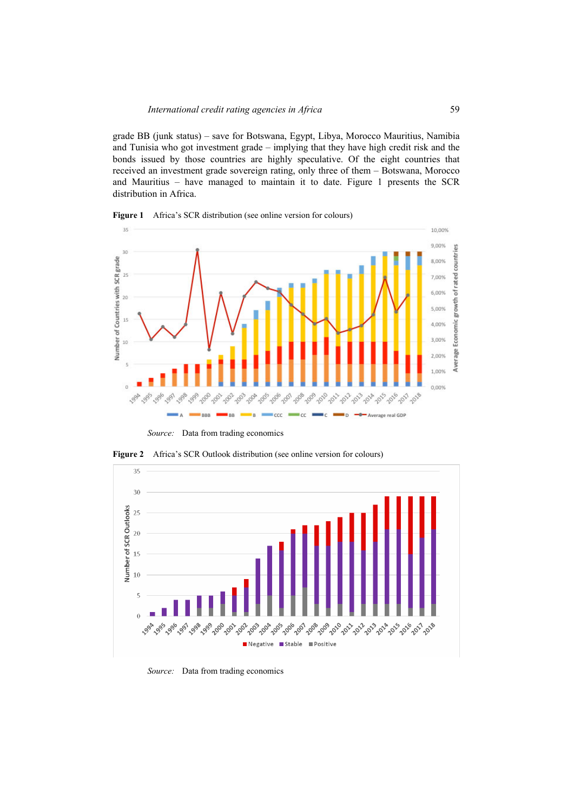grade BB (junk status) – save for Botswana, Egypt, Libya, Morocco Mauritius, Namibia and Tunisia who got investment grade – implying that they have high credit risk and the bonds issued by those countries are highly speculative. Of the eight countries that received an investment grade sovereign rating, only three of them – Botswana, Morocco and Mauritius – have managed to maintain it to date. Figure 1 presents the SCR distribution in Africa.





*Source:* Data from trading economics





*Source:* Data from trading economics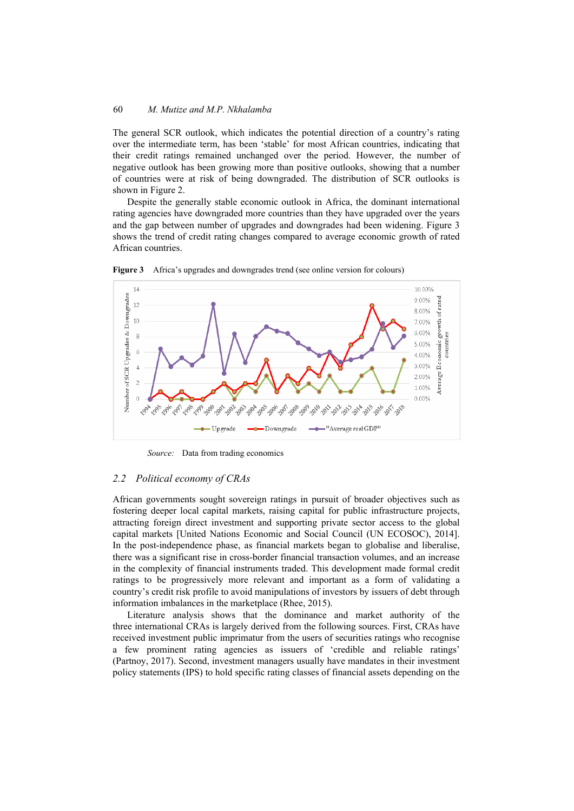The general SCR outlook, which indicates the potential direction of a country's rating over the intermediate term, has been 'stable' for most African countries, indicating that their credit ratings remained unchanged over the period. However, the number of negative outlook has been growing more than positive outlooks, showing that a number of countries were at risk of being downgraded. The distribution of SCR outlooks is shown in Figure 2.

Despite the generally stable economic outlook in Africa, the dominant international rating agencies have downgraded more countries than they have upgraded over the years and the gap between number of upgrades and downgrades had been widening. Figure 3 shows the trend of credit rating changes compared to average economic growth of rated African countries.



**Figure 3** Africa's upgrades and downgrades trend (see online version for colours)

*Source:* Data from trading economics

#### *2.2 Political economy of CRAs*

African governments sought sovereign ratings in pursuit of broader objectives such as fostering deeper local capital markets, raising capital for public infrastructure projects, attracting foreign direct investment and supporting private sector access to the global capital markets [United Nations Economic and Social Council (UN ECOSOC), 2014]. In the post-independence phase, as financial markets began to globalise and liberalise, there was a significant rise in cross-border financial transaction volumes, and an increase in the complexity of financial instruments traded. This development made formal credit ratings to be progressively more relevant and important as a form of validating a country's credit risk profile to avoid manipulations of investors by issuers of debt through information imbalances in the marketplace (Rhee, 2015).

Literature analysis shows that the dominance and market authority of the three international CRAs is largely derived from the following sources. First, CRAs have received investment public imprimatur from the users of securities ratings who recognise a few prominent rating agencies as issuers of 'credible and reliable ratings' (Partnoy, 2017). Second, investment managers usually have mandates in their investment policy statements (IPS) to hold specific rating classes of financial assets depending on the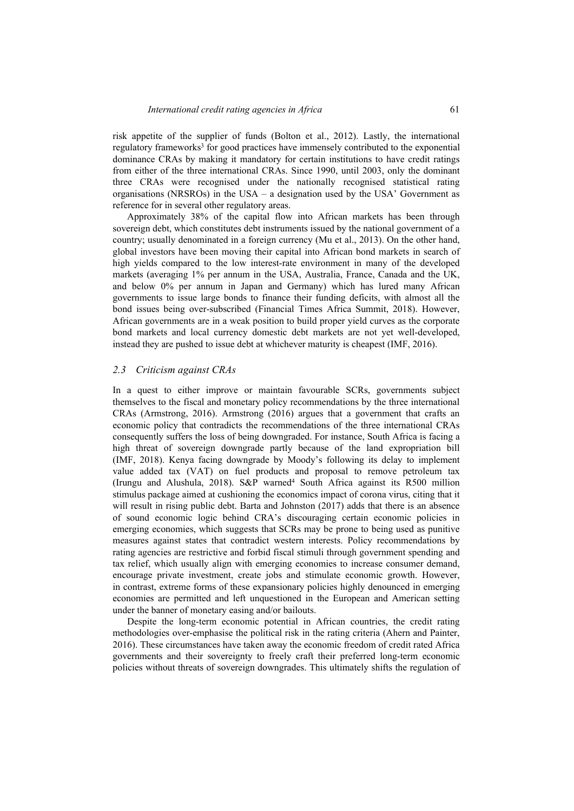risk appetite of the supplier of funds (Bolton et al., 2012). Lastly, the international regulatory frameworks<sup>3</sup> for good practices have immensely contributed to the exponential dominance CRAs by making it mandatory for certain institutions to have credit ratings from either of the three international CRAs. Since 1990, until 2003, only the dominant three CRAs were recognised under the nationally recognised statistical rating organisations (NRSROs) in the USA – a designation used by the USA' Government as reference for in several other regulatory areas.

Approximately 38% of the capital flow into African markets has been through sovereign debt, which constitutes debt instruments issued by the national government of a country; usually denominated in a foreign currency (Mu et al., 2013). On the other hand, global investors have been moving their capital into African bond markets in search of high yields compared to the low interest-rate environment in many of the developed markets (averaging 1% per annum in the USA, Australia, France, Canada and the UK, and below 0% per annum in Japan and Germany) which has lured many African governments to issue large bonds to finance their funding deficits, with almost all the bond issues being over-subscribed (Financial Times Africa Summit, 2018). However, African governments are in a weak position to build proper yield curves as the corporate bond markets and local currency domestic debt markets are not yet well-developed, instead they are pushed to issue debt at whichever maturity is cheapest (IMF, 2016).

#### *2.3 Criticism against CRAs*

In a quest to either improve or maintain favourable SCRs, governments subject themselves to the fiscal and monetary policy recommendations by the three international CRAs (Armstrong, 2016). Armstrong (2016) argues that a government that crafts an economic policy that contradicts the recommendations of the three international CRAs consequently suffers the loss of being downgraded. For instance, South Africa is facing a high threat of sovereign downgrade partly because of the land expropriation bill (IMF, 2018). Kenya facing downgrade by Moody's following its delay to implement value added tax (VAT) on fuel products and proposal to remove petroleum tax (Irungu and Alushula, 2018). S&P warned4 South Africa against its R500 million stimulus package aimed at cushioning the economics impact of corona virus, citing that it will result in rising public debt. Barta and Johnston (2017) adds that there is an absence of sound economic logic behind CRA's discouraging certain economic policies in emerging economies, which suggests that SCRs may be prone to being used as punitive measures against states that contradict western interests. Policy recommendations by rating agencies are restrictive and forbid fiscal stimuli through government spending and tax relief, which usually align with emerging economies to increase consumer demand, encourage private investment, create jobs and stimulate economic growth. However, in contrast, extreme forms of these expansionary policies highly denounced in emerging economies are permitted and left unquestioned in the European and American setting under the banner of monetary easing and/or bailouts.

Despite the long-term economic potential in African countries, the credit rating methodologies over-emphasise the political risk in the rating criteria (Ahern and Painter, 2016). These circumstances have taken away the economic freedom of credit rated Africa governments and their sovereignty to freely craft their preferred long-term economic policies without threats of sovereign downgrades. This ultimately shifts the regulation of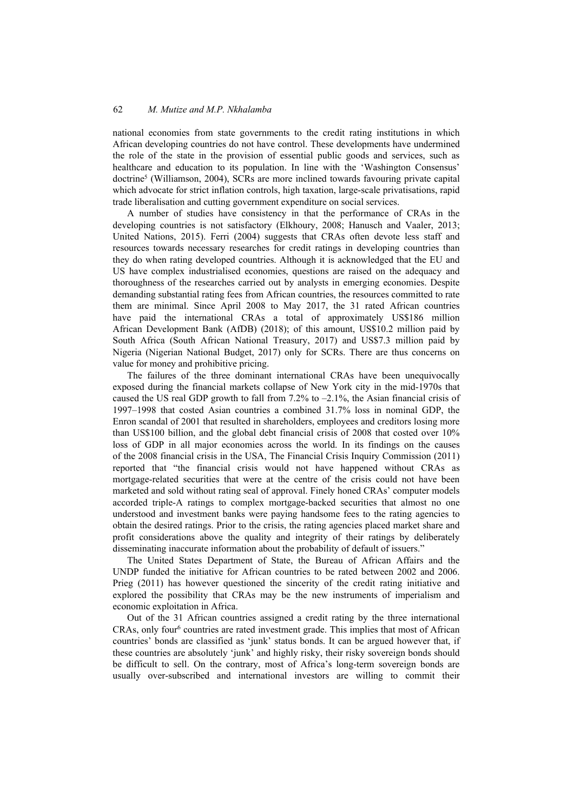national economies from state governments to the credit rating institutions in which African developing countries do not have control. These developments have undermined the role of the state in the provision of essential public goods and services, such as healthcare and education to its population. In line with the 'Washington Consensus' doctrine5 (Williamson, 2004), SCRs are more inclined towards favouring private capital which advocate for strict inflation controls, high taxation, large-scale privatisations, rapid trade liberalisation and cutting government expenditure on social services.

A number of studies have consistency in that the performance of CRAs in the developing countries is not satisfactory (Elkhoury, 2008; Hanusch and Vaaler, 2013; United Nations, 2015). Ferri (2004) suggests that CRAs often devote less staff and resources towards necessary researches for credit ratings in developing countries than they do when rating developed countries. Although it is acknowledged that the EU and US have complex industrialised economies, questions are raised on the adequacy and thoroughness of the researches carried out by analysts in emerging economies. Despite demanding substantial rating fees from African countries, the resources committed to rate them are minimal. Since April 2008 to May 2017, the 31 rated African countries have paid the international CRAs a total of approximately US\$186 million African Development Bank (AfDB) (2018); of this amount, US\$10.2 million paid by South Africa (South African National Treasury, 2017) and US\$7.3 million paid by Nigeria (Nigerian National Budget, 2017) only for SCRs. There are thus concerns on value for money and prohibitive pricing.

The failures of the three dominant international CRAs have been unequivocally exposed during the financial markets collapse of New York city in the mid-1970s that caused the US real GDP growth to fall from 7.2% to  $-2.1\%$ , the Asian financial crisis of 1997–1998 that costed Asian countries a combined 31.7% loss in nominal GDP, the Enron scandal of 2001 that resulted in shareholders, employees and creditors losing more than US\$100 billion, and the global debt financial crisis of 2008 that costed over 10% loss of GDP in all major economies across the world. In its findings on the causes of the 2008 financial crisis in the USA, The Financial Crisis Inquiry Commission (2011) reported that "the financial crisis would not have happened without CRAs as mortgage-related securities that were at the centre of the crisis could not have been marketed and sold without rating seal of approval. Finely honed CRAs' computer models accorded triple-A ratings to complex mortgage-backed securities that almost no one understood and investment banks were paying handsome fees to the rating agencies to obtain the desired ratings. Prior to the crisis, the rating agencies placed market share and profit considerations above the quality and integrity of their ratings by deliberately disseminating inaccurate information about the probability of default of issuers."

The United States Department of State, the Bureau of African Affairs and the UNDP funded the initiative for African countries to be rated between 2002 and 2006. Prieg (2011) has however questioned the sincerity of the credit rating initiative and explored the possibility that CRAs may be the new instruments of imperialism and economic exploitation in Africa.

Out of the 31 African countries assigned a credit rating by the three international  $CRAs$ , only four $6$  countries are rated investment grade. This implies that most of African countries' bonds are classified as 'junk' status bonds. It can be argued however that, if these countries are absolutely 'junk' and highly risky, their risky sovereign bonds should be difficult to sell. On the contrary, most of Africa's long-term sovereign bonds are usually over-subscribed and international investors are willing to commit their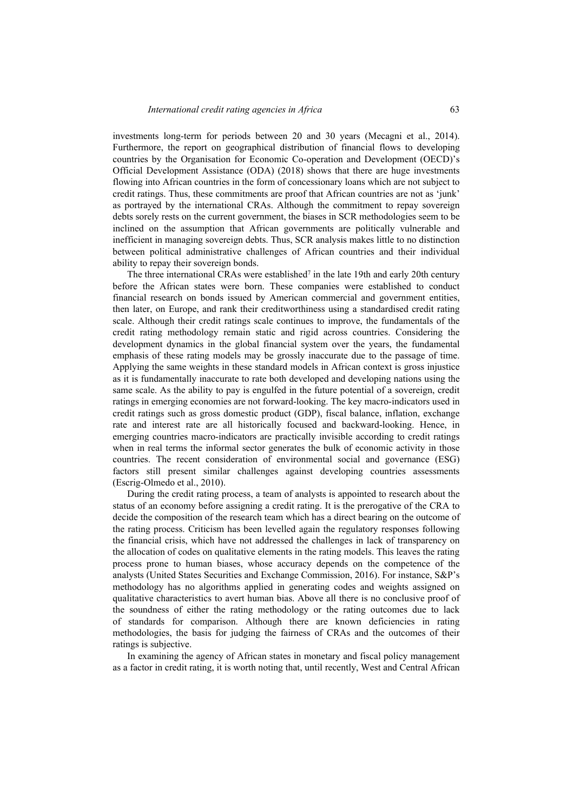investments long-term for periods between 20 and 30 years (Mecagni et al., 2014). Furthermore, the report on geographical distribution of financial flows to developing countries by the Organisation for Economic Co-operation and Development (OECD)'s Official Development Assistance (ODA) (2018) shows that there are huge investments flowing into African countries in the form of concessionary loans which are not subject to credit ratings. Thus, these commitments are proof that African countries are not as 'junk' as portrayed by the international CRAs. Although the commitment to repay sovereign debts sorely rests on the current government, the biases in SCR methodologies seem to be inclined on the assumption that African governments are politically vulnerable and inefficient in managing sovereign debts. Thus, SCR analysis makes little to no distinction between political administrative challenges of African countries and their individual ability to repay their sovereign bonds.

The three international CRAs were established<sup>7</sup> in the late 19th and early 20th century before the African states were born. These companies were established to conduct financial research on bonds issued by American commercial and government entities, then later, on Europe, and rank their creditworthiness using a standardised credit rating scale. Although their credit ratings scale continues to improve, the fundamentals of the credit rating methodology remain static and rigid across countries. Considering the development dynamics in the global financial system over the years, the fundamental emphasis of these rating models may be grossly inaccurate due to the passage of time. Applying the same weights in these standard models in African context is gross injustice as it is fundamentally inaccurate to rate both developed and developing nations using the same scale. As the ability to pay is engulfed in the future potential of a sovereign, credit ratings in emerging economies are not forward-looking. The key macro-indicators used in credit ratings such as gross domestic product (GDP), fiscal balance, inflation, exchange rate and interest rate are all historically focused and backward-looking. Hence, in emerging countries macro-indicators are practically invisible according to credit ratings when in real terms the informal sector generates the bulk of economic activity in those countries. The recent consideration of environmental social and governance (ESG) factors still present similar challenges against developing countries assessments (Escrig-Olmedo et al., 2010).

During the credit rating process, a team of analysts is appointed to research about the status of an economy before assigning a credit rating. It is the prerogative of the CRA to decide the composition of the research team which has a direct bearing on the outcome of the rating process. Criticism has been levelled again the regulatory responses following the financial crisis, which have not addressed the challenges in lack of transparency on the allocation of codes on qualitative elements in the rating models. This leaves the rating process prone to human biases, whose accuracy depends on the competence of the analysts (United States Securities and Exchange Commission, 2016). For instance, S&P's methodology has no algorithms applied in generating codes and weights assigned on qualitative characteristics to avert human bias. Above all there is no conclusive proof of the soundness of either the rating methodology or the rating outcomes due to lack of standards for comparison. Although there are known deficiencies in rating methodologies, the basis for judging the fairness of CRAs and the outcomes of their ratings is subjective.

In examining the agency of African states in monetary and fiscal policy management as a factor in credit rating, it is worth noting that, until recently, West and Central African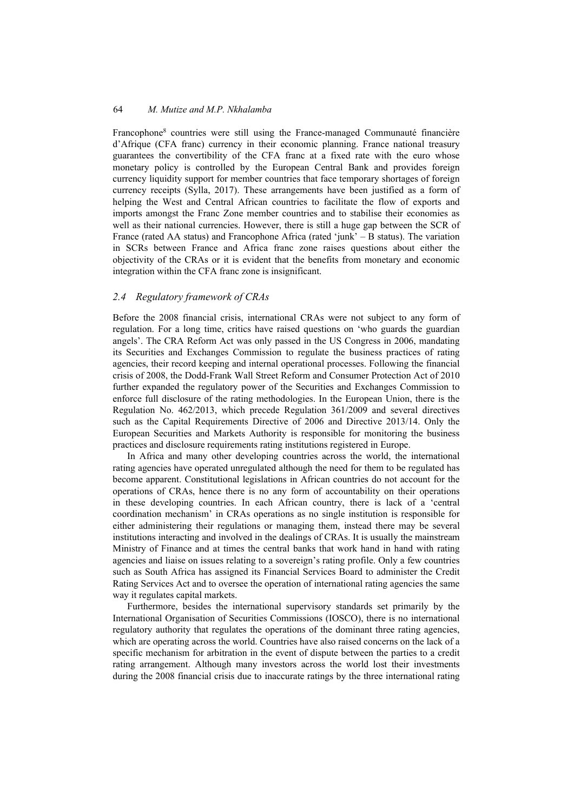Francophone8 countries were still using the France-managed Communauté financière d'Afrique (CFA franc) currency in their economic planning. France national treasury guarantees the convertibility of the CFA franc at a fixed rate with the euro whose monetary policy is controlled by the European Central Bank and provides foreign currency liquidity support for member countries that face temporary shortages of foreign currency receipts (Sylla, 2017). These arrangements have been justified as a form of helping the West and Central African countries to facilitate the flow of exports and imports amongst the Franc Zone member countries and to stabilise their economies as well as their national currencies. However, there is still a huge gap between the SCR of France (rated AA status) and Francophone Africa (rated 'junk' – B status). The variation in SCRs between France and Africa franc zone raises questions about either the objectivity of the CRAs or it is evident that the benefits from monetary and economic integration within the CFA franc zone is insignificant.

## *2.4 Regulatory framework of CRAs*

Before the 2008 financial crisis, international CRAs were not subject to any form of regulation. For a long time, critics have raised questions on 'who guards the guardian angels'. The CRA Reform Act was only passed in the US Congress in 2006, mandating its Securities and Exchanges Commission to regulate the business practices of rating agencies, their record keeping and internal operational processes. Following the financial crisis of 2008, the Dodd-Frank Wall Street Reform and Consumer Protection Act of 2010 further expanded the regulatory power of the Securities and Exchanges Commission to enforce full disclosure of the rating methodologies. In the European Union, there is the Regulation No. 462/2013, which precede Regulation 361/2009 and several directives such as the Capital Requirements Directive of 2006 and Directive 2013/14. Only the European Securities and Markets Authority is responsible for monitoring the business practices and disclosure requirements rating institutions registered in Europe.

In Africa and many other developing countries across the world, the international rating agencies have operated unregulated although the need for them to be regulated has become apparent. Constitutional legislations in African countries do not account for the operations of CRAs, hence there is no any form of accountability on their operations in these developing countries. In each African country, there is lack of a 'central coordination mechanism' in CRAs operations as no single institution is responsible for either administering their regulations or managing them, instead there may be several institutions interacting and involved in the dealings of CRAs. It is usually the mainstream Ministry of Finance and at times the central banks that work hand in hand with rating agencies and liaise on issues relating to a sovereign's rating profile. Only a few countries such as South Africa has assigned its Financial Services Board to administer the Credit Rating Services Act and to oversee the operation of international rating agencies the same way it regulates capital markets.

Furthermore, besides the international supervisory standards set primarily by the International Organisation of Securities Commissions (IOSCO), there is no international regulatory authority that regulates the operations of the dominant three rating agencies, which are operating across the world. Countries have also raised concerns on the lack of a specific mechanism for arbitration in the event of dispute between the parties to a credit rating arrangement. Although many investors across the world lost their investments during the 2008 financial crisis due to inaccurate ratings by the three international rating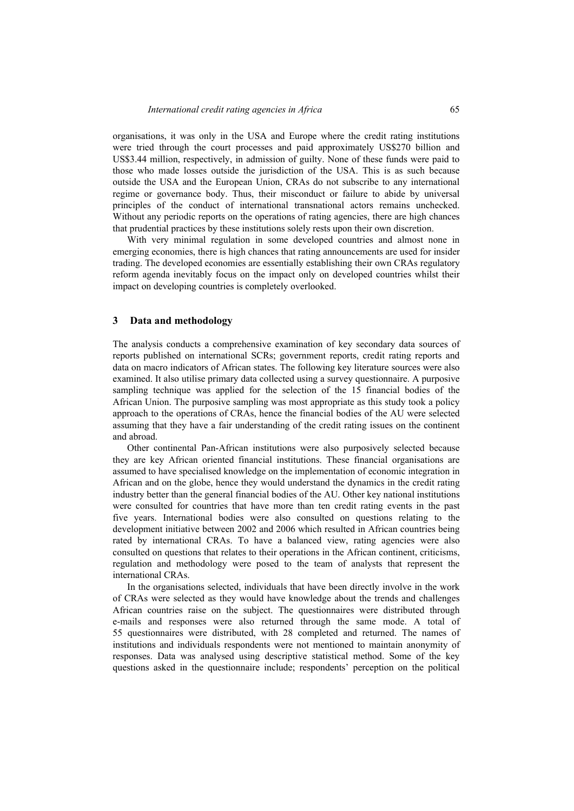organisations, it was only in the USA and Europe where the credit rating institutions were tried through the court processes and paid approximately US\$270 billion and US\$3.44 million, respectively, in admission of guilty. None of these funds were paid to those who made losses outside the jurisdiction of the USA. This is as such because outside the USA and the European Union, CRAs do not subscribe to any international regime or governance body. Thus, their misconduct or failure to abide by universal principles of the conduct of international transnational actors remains unchecked. Without any periodic reports on the operations of rating agencies, there are high chances that prudential practices by these institutions solely rests upon their own discretion.

With very minimal regulation in some developed countries and almost none in emerging economies, there is high chances that rating announcements are used for insider trading. The developed economies are essentially establishing their own CRAs regulatory reform agenda inevitably focus on the impact only on developed countries whilst their impact on developing countries is completely overlooked.

#### **3 Data and methodology**

The analysis conducts a comprehensive examination of key secondary data sources of reports published on international SCRs; government reports, credit rating reports and data on macro indicators of African states. The following key literature sources were also examined. It also utilise primary data collected using a survey questionnaire. A purposive sampling technique was applied for the selection of the 15 financial bodies of the African Union. The purposive sampling was most appropriate as this study took a policy approach to the operations of CRAs, hence the financial bodies of the AU were selected assuming that they have a fair understanding of the credit rating issues on the continent and abroad.

Other continental Pan-African institutions were also purposively selected because they are key African oriented financial institutions. These financial organisations are assumed to have specialised knowledge on the implementation of economic integration in African and on the globe, hence they would understand the dynamics in the credit rating industry better than the general financial bodies of the AU. Other key national institutions were consulted for countries that have more than ten credit rating events in the past five years. International bodies were also consulted on questions relating to the development initiative between 2002 and 2006 which resulted in African countries being rated by international CRAs. To have a balanced view, rating agencies were also consulted on questions that relates to their operations in the African continent, criticisms, regulation and methodology were posed to the team of analysts that represent the international CRAs.

In the organisations selected, individuals that have been directly involve in the work of CRAs were selected as they would have knowledge about the trends and challenges African countries raise on the subject. The questionnaires were distributed through e-mails and responses were also returned through the same mode. A total of 55 questionnaires were distributed, with 28 completed and returned. The names of institutions and individuals respondents were not mentioned to maintain anonymity of responses. Data was analysed using descriptive statistical method. Some of the key questions asked in the questionnaire include; respondents' perception on the political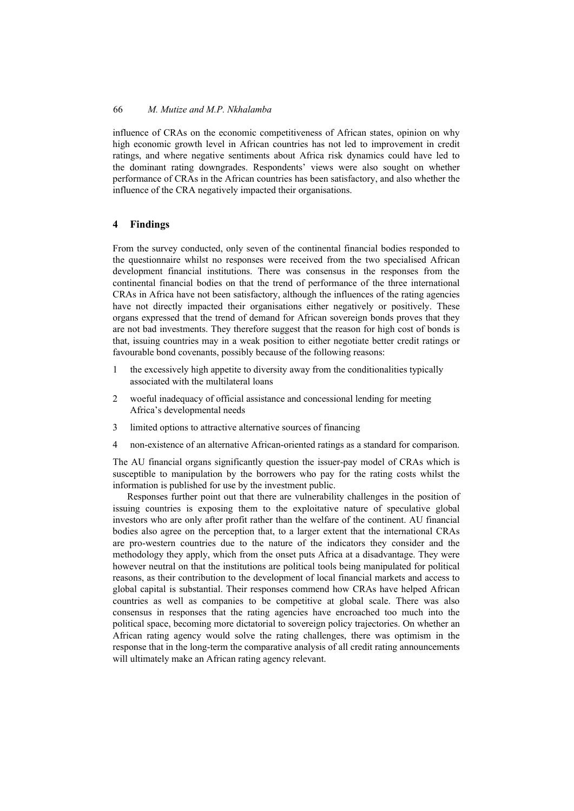influence of CRAs on the economic competitiveness of African states, opinion on why high economic growth level in African countries has not led to improvement in credit ratings, and where negative sentiments about Africa risk dynamics could have led to the dominant rating downgrades. Respondents' views were also sought on whether performance of CRAs in the African countries has been satisfactory, and also whether the influence of the CRA negatively impacted their organisations.

# **4 Findings**

From the survey conducted, only seven of the continental financial bodies responded to the questionnaire whilst no responses were received from the two specialised African development financial institutions. There was consensus in the responses from the continental financial bodies on that the trend of performance of the three international CRAs in Africa have not been satisfactory, although the influences of the rating agencies have not directly impacted their organisations either negatively or positively. These organs expressed that the trend of demand for African sovereign bonds proves that they are not bad investments. They therefore suggest that the reason for high cost of bonds is that, issuing countries may in a weak position to either negotiate better credit ratings or favourable bond covenants, possibly because of the following reasons:

- 1 the excessively high appetite to diversity away from the conditionalities typically associated with the multilateral loans
- 2 woeful inadequacy of official assistance and concessional lending for meeting Africa's developmental needs
- 3 limited options to attractive alternative sources of financing
- 4 non-existence of an alternative African-oriented ratings as a standard for comparison.

The AU financial organs significantly question the issuer-pay model of CRAs which is susceptible to manipulation by the borrowers who pay for the rating costs whilst the information is published for use by the investment public.

Responses further point out that there are vulnerability challenges in the position of issuing countries is exposing them to the exploitative nature of speculative global investors who are only after profit rather than the welfare of the continent. AU financial bodies also agree on the perception that, to a larger extent that the international CRAs are pro-western countries due to the nature of the indicators they consider and the methodology they apply, which from the onset puts Africa at a disadvantage. They were however neutral on that the institutions are political tools being manipulated for political reasons, as their contribution to the development of local financial markets and access to global capital is substantial. Their responses commend how CRAs have helped African countries as well as companies to be competitive at global scale. There was also consensus in responses that the rating agencies have encroached too much into the political space, becoming more dictatorial to sovereign policy trajectories. On whether an African rating agency would solve the rating challenges, there was optimism in the response that in the long-term the comparative analysis of all credit rating announcements will ultimately make an African rating agency relevant.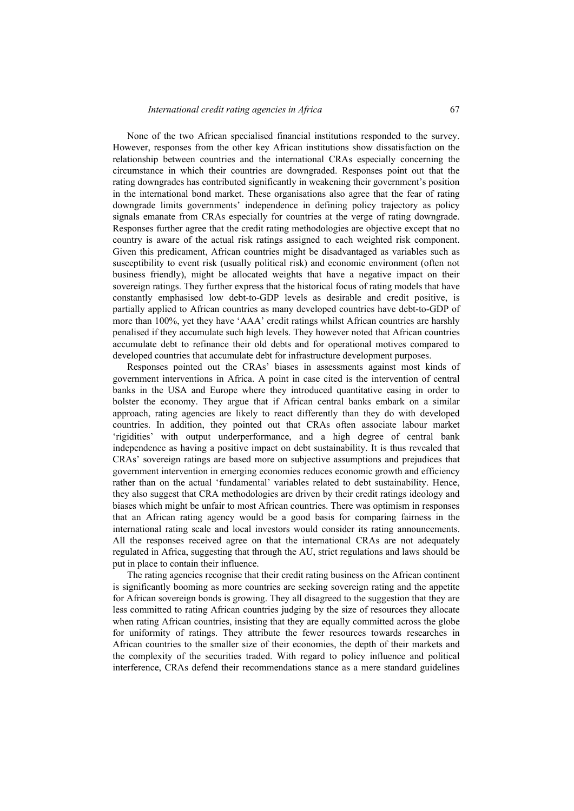None of the two African specialised financial institutions responded to the survey. However, responses from the other key African institutions show dissatisfaction on the relationship between countries and the international CRAs especially concerning the circumstance in which their countries are downgraded. Responses point out that the rating downgrades has contributed significantly in weakening their government's position in the international bond market. These organisations also agree that the fear of rating downgrade limits governments' independence in defining policy trajectory as policy signals emanate from CRAs especially for countries at the verge of rating downgrade. Responses further agree that the credit rating methodologies are objective except that no country is aware of the actual risk ratings assigned to each weighted risk component. Given this predicament, African countries might be disadvantaged as variables such as susceptibility to event risk (usually political risk) and economic environment (often not business friendly), might be allocated weights that have a negative impact on their sovereign ratings. They further express that the historical focus of rating models that have constantly emphasised low debt-to-GDP levels as desirable and credit positive, is partially applied to African countries as many developed countries have debt-to-GDP of more than 100%, yet they have 'AAA' credit ratings whilst African countries are harshly penalised if they accumulate such high levels. They however noted that African countries accumulate debt to refinance their old debts and for operational motives compared to developed countries that accumulate debt for infrastructure development purposes.

Responses pointed out the CRAs' biases in assessments against most kinds of government interventions in Africa. A point in case cited is the intervention of central banks in the USA and Europe where they introduced quantitative easing in order to bolster the economy. They argue that if African central banks embark on a similar approach, rating agencies are likely to react differently than they do with developed countries. In addition, they pointed out that CRAs often associate labour market 'rigidities' with output underperformance, and a high degree of central bank independence as having a positive impact on debt sustainability. It is thus revealed that CRAs' sovereign ratings are based more on subjective assumptions and prejudices that government intervention in emerging economies reduces economic growth and efficiency rather than on the actual 'fundamental' variables related to debt sustainability. Hence, they also suggest that CRA methodologies are driven by their credit ratings ideology and biases which might be unfair to most African countries. There was optimism in responses that an African rating agency would be a good basis for comparing fairness in the international rating scale and local investors would consider its rating announcements. All the responses received agree on that the international CRAs are not adequately regulated in Africa, suggesting that through the AU, strict regulations and laws should be put in place to contain their influence.

The rating agencies recognise that their credit rating business on the African continent is significantly booming as more countries are seeking sovereign rating and the appetite for African sovereign bonds is growing. They all disagreed to the suggestion that they are less committed to rating African countries judging by the size of resources they allocate when rating African countries, insisting that they are equally committed across the globe for uniformity of ratings. They attribute the fewer resources towards researches in African countries to the smaller size of their economies, the depth of their markets and the complexity of the securities traded. With regard to policy influence and political interference, CRAs defend their recommendations stance as a mere standard guidelines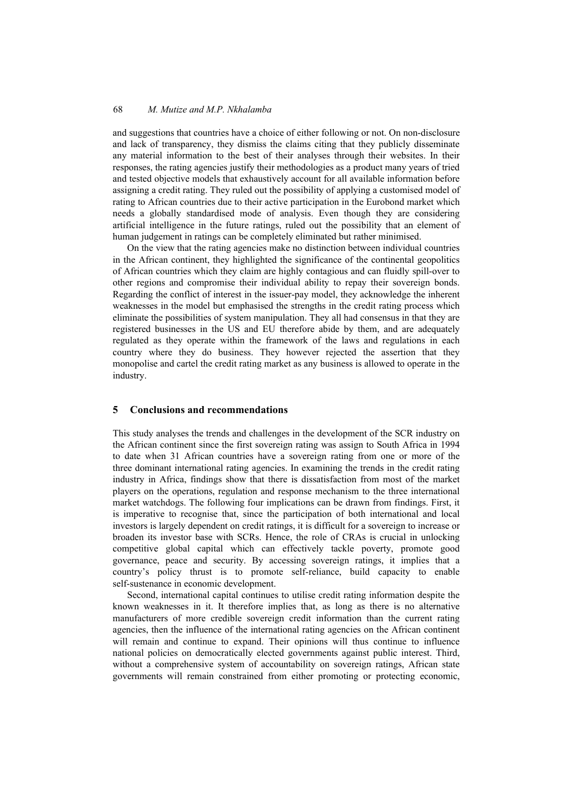and suggestions that countries have a choice of either following or not. On non-disclosure and lack of transparency, they dismiss the claims citing that they publicly disseminate any material information to the best of their analyses through their websites. In their responses, the rating agencies justify their methodologies as a product many years of tried and tested objective models that exhaustively account for all available information before assigning a credit rating. They ruled out the possibility of applying a customised model of rating to African countries due to their active participation in the Eurobond market which needs a globally standardised mode of analysis. Even though they are considering artificial intelligence in the future ratings, ruled out the possibility that an element of human judgement in ratings can be completely eliminated but rather minimised.

On the view that the rating agencies make no distinction between individual countries in the African continent, they highlighted the significance of the continental geopolitics of African countries which they claim are highly contagious and can fluidly spill-over to other regions and compromise their individual ability to repay their sovereign bonds. Regarding the conflict of interest in the issuer-pay model, they acknowledge the inherent weaknesses in the model but emphasised the strengths in the credit rating process which eliminate the possibilities of system manipulation. They all had consensus in that they are registered businesses in the US and EU therefore abide by them, and are adequately regulated as they operate within the framework of the laws and regulations in each country where they do business. They however rejected the assertion that they monopolise and cartel the credit rating market as any business is allowed to operate in the industry.

#### **5 Conclusions and recommendations**

This study analyses the trends and challenges in the development of the SCR industry on the African continent since the first sovereign rating was assign to South Africa in 1994 to date when 31 African countries have a sovereign rating from one or more of the three dominant international rating agencies. In examining the trends in the credit rating industry in Africa, findings show that there is dissatisfaction from most of the market players on the operations, regulation and response mechanism to the three international market watchdogs. The following four implications can be drawn from findings. First, it is imperative to recognise that, since the participation of both international and local investors is largely dependent on credit ratings, it is difficult for a sovereign to increase or broaden its investor base with SCRs. Hence, the role of CRAs is crucial in unlocking competitive global capital which can effectively tackle poverty, promote good governance, peace and security. By accessing sovereign ratings, it implies that a country's policy thrust is to promote self-reliance, build capacity to enable self-sustenance in economic development.

Second, international capital continues to utilise credit rating information despite the known weaknesses in it. It therefore implies that, as long as there is no alternative manufacturers of more credible sovereign credit information than the current rating agencies, then the influence of the international rating agencies on the African continent will remain and continue to expand. Their opinions will thus continue to influence national policies on democratically elected governments against public interest. Third, without a comprehensive system of accountability on sovereign ratings, African state governments will remain constrained from either promoting or protecting economic,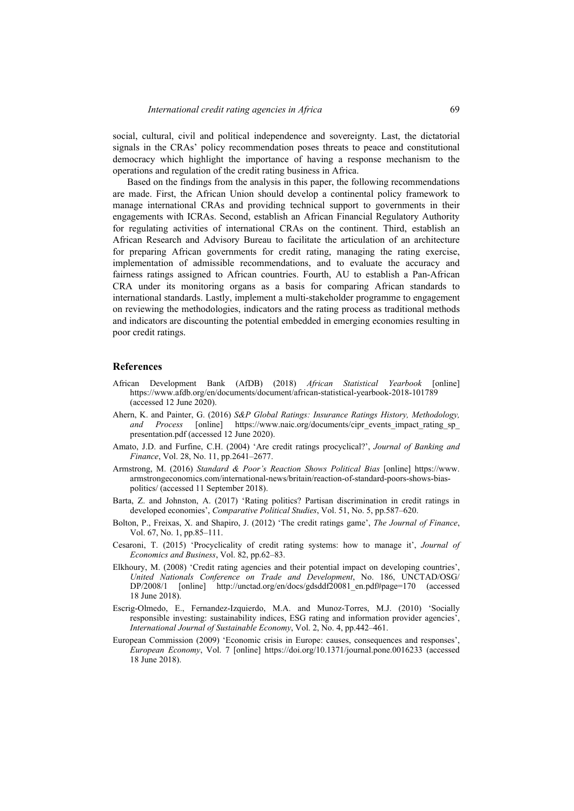social, cultural, civil and political independence and sovereignty. Last, the dictatorial signals in the CRAs' policy recommendation poses threats to peace and constitutional democracy which highlight the importance of having a response mechanism to the operations and regulation of the credit rating business in Africa.

Based on the findings from the analysis in this paper, the following recommendations are made. First, the African Union should develop a continental policy framework to manage international CRAs and providing technical support to governments in their engagements with ICRAs. Second, establish an African Financial Regulatory Authority for regulating activities of international CRAs on the continent. Third, establish an African Research and Advisory Bureau to facilitate the articulation of an architecture for preparing African governments for credit rating, managing the rating exercise, implementation of admissible recommendations, and to evaluate the accuracy and fairness ratings assigned to African countries. Fourth, AU to establish a Pan-African CRA under its monitoring organs as a basis for comparing African standards to international standards. Lastly, implement a multi-stakeholder programme to engagement on reviewing the methodologies, indicators and the rating process as traditional methods and indicators are discounting the potential embedded in emerging economies resulting in poor credit ratings.

#### **References**

- African Development Bank (AfDB) (2018) *African Statistical Yearbook* [online] https://www.afdb.org/en/documents/document/african-statistical-yearbook-2018-101789 (accessed 12 June 2020).
- Ahern, K. and Painter, G. (2016) *S&P Global Ratings: Insurance Ratings History, Methodology,*  and Process [online] https://www.naic.org/documents/cipr\_events\_impact\_rating\_sp\_ presentation.pdf (accessed 12 June 2020).
- Amato, J.D. and Furfine, C.H. (2004) 'Are credit ratings procyclical?', *Journal of Banking and Finance*, Vol. 28, No. 11, pp.2641–2677.
- Armstrong, M. (2016) *Standard & Poor's Reaction Shows Political Bias* [online] https://www. armstrongeconomics.com/international-news/britain/reaction-of-standard-poors-shows-biaspolitics/ (accessed 11 September 2018).
- Barta, Z. and Johnston, A. (2017) 'Rating politics? Partisan discrimination in credit ratings in developed economies', *Comparative Political Studies*, Vol. 51, No. 5, pp.587–620.
- Bolton, P., Freixas, X. and Shapiro, J. (2012) 'The credit ratings game', *The Journal of Finance*, Vol. 67, No. 1, pp.85–111.
- Cesaroni, T. (2015) 'Procyclicality of credit rating systems: how to manage it', *Journal of Economics and Business*, Vol. 82, pp.62–83.
- Elkhoury, M. (2008) 'Credit rating agencies and their potential impact on developing countries', *United Nationals Conference on Trade and Development*, No. 186, UNCTAD/OSG/ DP/2008/1 [online] http://unctad.org/en/docs/gdsddf20081\_en.pdf#page=170 (accessed 18 June 2018).
- Escrig-Olmedo, E., Fernandez-Izquierdo, M.A. and Munoz-Torres, M.J. (2010) 'Socially responsible investing: sustainability indices, ESG rating and information provider agencies', *International Journal of Sustainable Economy*, Vol. 2, No. 4, pp.442–461.
- European Commission (2009) 'Economic crisis in Europe: causes, consequences and responses', *European Economy*, Vol. 7 [online] https://doi.org/10.1371/journal.pone.0016233 (accessed 18 June 2018).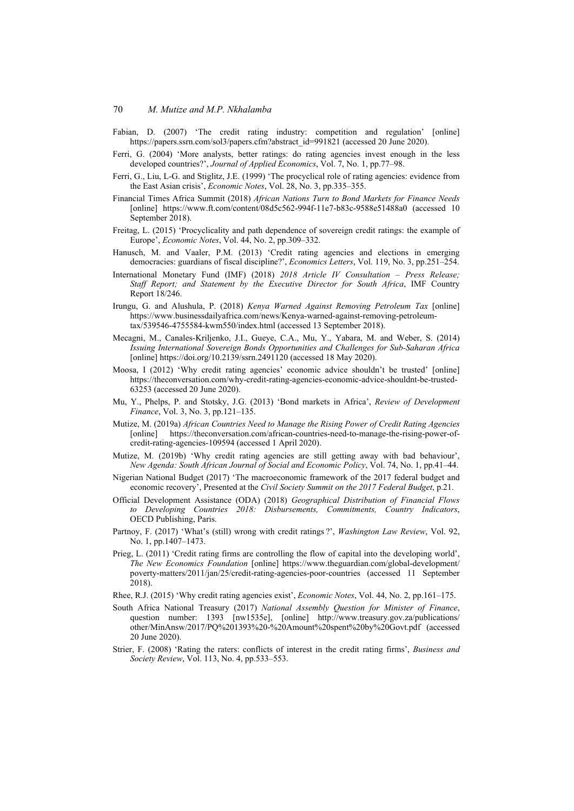- Fabian, D. (2007) 'The credit rating industry: competition and regulation' [online] https://papers.ssrn.com/sol3/papers.cfm?abstract\_id=991821 (accessed 20 June 2020).
- Ferri, G. (2004) 'More analysts, better ratings: do rating agencies invest enough in the less developed countries?', *Journal of Applied Economics*, Vol. 7, No. 1, pp.77–98.
- Ferri, G., Liu, L-G. and Stiglitz, J.E. (1999) 'The procyclical role of rating agencies: evidence from the East Asian crisis', *Economic Notes*, Vol. 28, No. 3, pp.335–355.
- Financial Times Africa Summit (2018) *African Nations Turn to Bond Markets for Finance Needs* [online] https://www.ft.com/content/08d5c562-994f-11e7-b83c-9588e51488a0 (accessed 10 September 2018).
- Freitag, L. (2015) 'Procyclicality and path dependence of sovereign credit ratings: the example of Europe', *Economic Notes*, Vol. 44, No. 2, pp.309–332.
- Hanusch, M. and Vaaler, P.M. (2013) 'Credit rating agencies and elections in emerging democracies: guardians of fiscal discipline?', *Economics Letters*, Vol. 119, No. 3, pp.251–254.
- International Monetary Fund (IMF) (2018) *2018 Article IV Consultation Press Release; Staff Report; and Statement by the Executive Director for South Africa*, IMF Country Report 18/246.
- Irungu, G. and Alushula, P. (2018) *Kenya Warned Against Removing Petroleum Tax* [online] https://www.businessdailyafrica.com/news/Kenya-warned-against-removing-petroleumtax/539546-4755584-kwm550/index.html (accessed 13 September 2018).
- Mecagni, M., Canales-Kriljenko, J.I., Gueye, C.A., Mu, Y., Yabara, M. and Weber, S. (2014) *Issuing International Sovereign Bonds Opportunities and Challenges for Sub-Saharan Africa* [online] https://doi.org/10.2139/ssrn.2491120 (accessed 18 May 2020).
- Moosa, I (2012) 'Why credit rating agencies' economic advice shouldn't be trusted' [online] https://theconversation.com/why-credit-rating-agencies-economic-advice-shouldnt-be-trusted-63253 (accessed 20 June 2020).
- Mu, Y., Phelps, P. and Stotsky, J.G. (2013) 'Bond markets in Africa', *Review of Development Finance*, Vol. 3, No. 3, pp.121–135.
- Mutize, M. (2019a) *African Countries Need to Manage the Rising Power of Credit Rating Agencies* [online] https://theconversation.com/african-countries-need-to-manage-the-rising-power-ofcredit-rating-agencies-109594 (accessed 1 April 2020).
- Mutize, M. (2019b) 'Why credit rating agencies are still getting away with bad behaviour', *New Agenda: South African Journal of Social and Economic Policy*, Vol. 74, No. 1, pp.41–44.
- Nigerian National Budget (2017) 'The macroeconomic framework of the 2017 federal budget and economic recovery', Presented at the *Civil Society Summit on the 2017 Federal Budget*, p.21.
- Official Development Assistance (ODA) (2018) *Geographical Distribution of Financial Flows to Developing Countries 2018: Disbursements, Commitments, Country Indicators*, OECD Publishing, Paris.
- Partnoy, F. (2017) 'What's (still) wrong with credit ratings ?', *Washington Law Review*, Vol. 92, No. 1, pp.1407–1473.
- Prieg, L. (2011) 'Credit rating firms are controlling the flow of capital into the developing world', *The New Economics Foundation* [online] https://www.theguardian.com/global-development/ poverty-matters/2011/jan/25/credit-rating-agencies-poor-countries (accessed 11 September 2018).
- Rhee, R.J. (2015) 'Why credit rating agencies exist', *Economic Notes*, Vol. 44, No. 2, pp.161–175.
- South Africa National Treasury (2017) *National Assembly Question for Minister of Finance*, question number: 1393 [nw1535e], [online] http://www.treasury.gov.za/publications/ other/MinAnsw/2017/PQ%201393%20-%20Amount%20spent%20by%20Govt.pdf (accessed 20 June 2020).
- Strier, F. (2008) 'Rating the raters: conflicts of interest in the credit rating firms', *Business and Society Review*, Vol. 113, No. 4, pp.533–553.